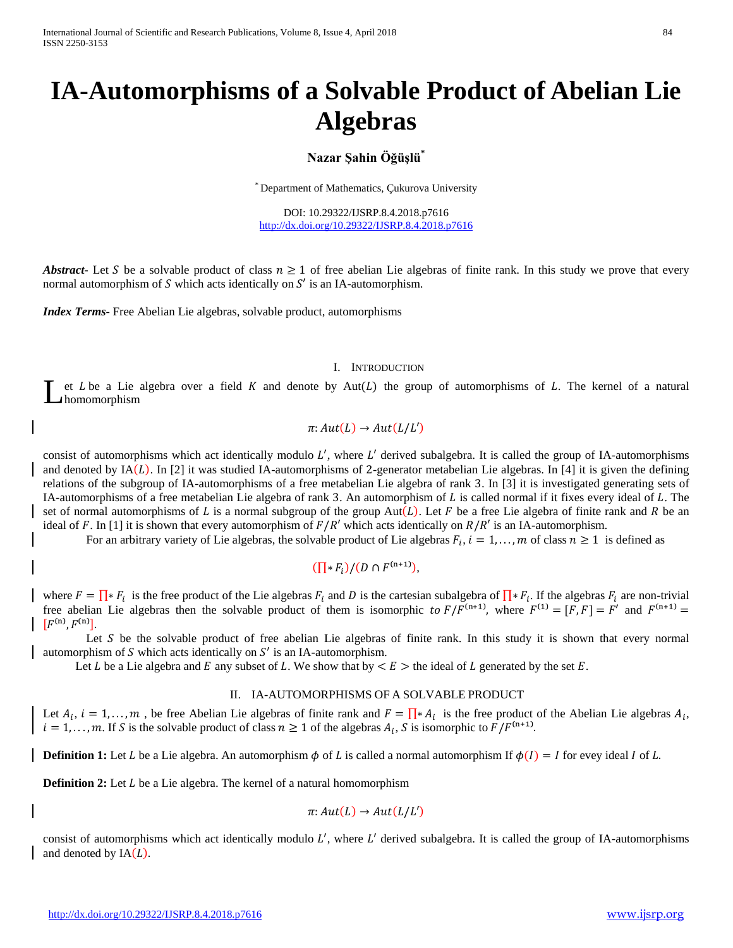International Journal of Scientific and Research Publications, Volume 8, Issue 4, April 2018 84 ISSN 2250-3153

# **IA-Automorphisms of a Solvable Product of Abelian Lie Algebras**

# **Nazar Şahin Öğüşlü\***

\* Department of Mathematics, Çukurova University

DOI: 10.29322/IJSRP.8.4.2018.p7616 <http://dx.doi.org/10.29322/IJSRP.8.4.2018.p7616>

**Abstract** Let S be a solvable product of class  $n \ge 1$  of free abelian Lie algebras of finite rank. In this study we prove that every normal automorphism of  $S$  which acts identically on  $S'$  is an IA-automorphism.

*Index Terms*- Free Abelian Lie algebras, solvable product, automorphisms

## I. INTRODUCTION

et  $L$  be a Lie algebra over a field  $K$  and denote by Aut $(L)$  the group of automorphisms of  $L$ . The kernel of a natural homomorphism L

$$
\pi: Aut(L) \to Aut(L/L')
$$

consist of automorphisms which act identically modulo  $L'$ , where  $L'$  derived subalgebra. It is called the group of IA-automorphisms and denoted by  $IA(L)$ . In [2] it was studied IA-automorphisms of 2-generator metabelian Lie algebras. In [4] it is given the defining relations of the subgroup of IA-automorphisms of a free metabelian Lie algebra of rank 3. In [3] it is investigated generating sets of IA-automorphisms of a free metabelian Lie algebra of rank 3. An automorphism of  $L$  is called normal if it fixes every ideal of  $L$ . The set of normal automorphisms of L is a normal subgroup of the group Aut(L). Let F be a free Lie algebra of finite rank and R be an ideal of F. In [1] it is shown that every automorphism of  $F/R'$  which acts identically on  $R/R'$  is an IA-automorphism.

For an arbitrary variety of Lie algebras, the solvable product of Lie algebras  $F_i$ ,  $i = 1, ..., m$  of class  $n \ge 1$  is defined as

$$
(\prod * F_i)/(D \cap F^{(n+1)}),
$$

where  $F = \prod_{i} * F_i$  is the free product of the Lie algebras  $F_i$  and D is the cartesian subalgebra of  $\prod_{i} * F_i$ . If the algebras  $F_i$  are non-trivial free abelian Lie algebras then the solvable product of them is isomorphic to  $F/F^{(n+1)}$ , where  $F^{(1)} = [F, F] = F'$  and  $F^{(n+1)} =$  $[F^{(n)}, F^{(n)}].$ 

Let  $S$  be the solvable product of free abelian Lie algebras of finite rank. In this study it is shown that every normal automorphism of  $S$  which acts identically on  $S'$  is an IA-automorphism.

Let L be a Lie algebra and E any subset of L. We show that by  $\lt E >$  the ideal of L generated by the set E.

### II. IA-AUTOMORPHISMS OF A SOLVABLE PRODUCT

Let  $A_i$ ,  $i = 1, \ldots, m$ , be free Abelian Lie algebras of finite rank and  $F = \prod_{i=1}^{n} A_i$  is the free product of the Abelian Lie algebras  $A_i$ ,  $i = 1, \ldots, m$ . If S is the solvable product of class  $n \ge 1$  of the algebras  $A_i$ , S is isomorphic to  $F/F^{(n+1)}$ .

**Definition 1:** Let *L* be a Lie algebra. An automorphism  $\phi$  of *L* is called a normal automorphism If  $\phi(I) = I$  for evey ideal *I* of *L*.

**Definition 2:** Let *L* be a Lie algebra. The kernel of a natural homomorphism

$$
\pi: Aut(L) \to Aut(L/L')
$$

consist of automorphisms which act identically modulo  $L'$ , where  $L'$  derived subalgebra. It is called the group of IA-automorphisms and denoted by  $IA(L)$ .